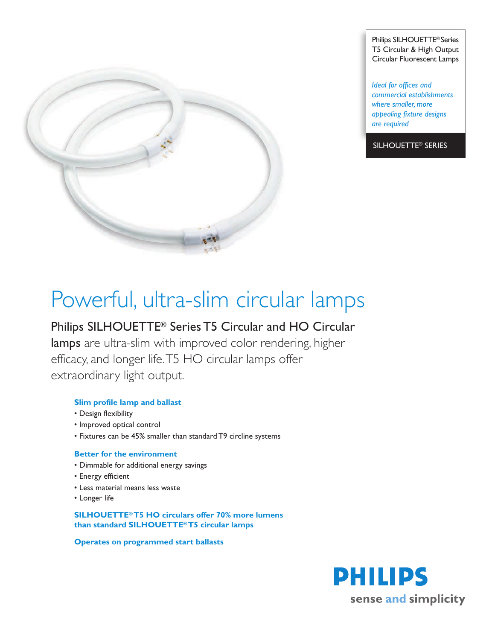

Philips SILHOUETTE® Series T5 Circular & High Output Circular Fluorescent Lamps

*Ideal for offices and commercial establishments where smaller, more appealing fixture designs are required*

SILHOUETTE® SERIES

# Powerful, ultra-slim circular lamps

## Philips SILHOUETTE® Series T5 Circular and HO Circular

lamps are ultra-slim with improved color rendering, higher efficacy, and longer life.T5 HO circular lamps offer extraordinary light output.

### **Slim profile lamp and ballast**

- Design flexibility
- Improved optical control
- Fixtures can be 45% smaller than standard T9 circline systems

#### **Better for the environment**

- Dimmable for additional energy savings
- Energy efficient
- Less material means less waste
- Longer life

#### **SILHOUETTE® T5 HO circulars offer 70% more lumens than standard SILHOUETTE® T5 circular lamps**

**Operates on programmed start ballasts**